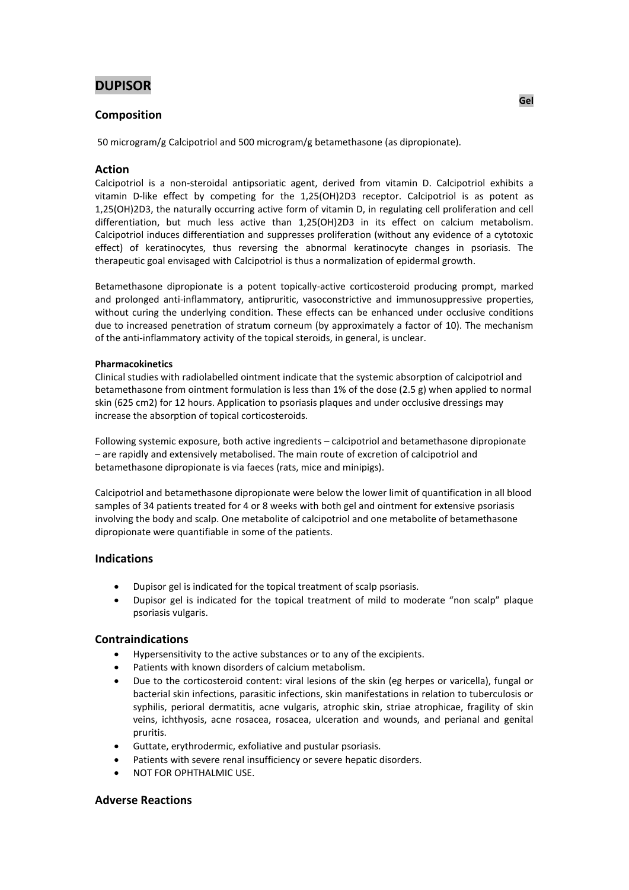# **DUPISOR**

## **Composition**

50 microgram/g Calcipotriol and 500 microgram/g betamethasone (as dipropionate).

## **Action**

Calcipotriol is a non-steroidal antipsoriatic agent, derived from vitamin D. Calcipotriol exhibits a vitamin D-like effect by competing for the 1,25(OH)2D3 receptor. Calcipotriol is as potent as 1,25(OH)2D3, the naturally occurring active form of vitamin D, in regulating cell proliferation and cell differentiation, but much less active than 1,25(OH)2D3 in its effect on calcium metabolism. Calcipotriol induces differentiation and suppresses proliferation (without any evidence of a cytotoxic effect) of keratinocytes, thus reversing the abnormal keratinocyte changes in psoriasis. The therapeutic goal envisaged with Calcipotriol is thus a normalization of epidermal growth.

Betamethasone dipropionate is a potent topically-active corticosteroid producing prompt, marked and prolonged anti-inflammatory, antipruritic, vasoconstrictive and immunosuppressive properties, without curing the underlying condition. These effects can be enhanced under occlusive conditions due to increased penetration of stratum corneum (by approximately a factor of 10). The mechanism of the anti-inflammatory activity of the topical steroids, in general, is unclear.

### **Pharmacokinetics**

Clinical studies with radiolabelled ointment indicate that the systemic absorption of calcipotriol and betamethasone from ointment formulation is less than 1% of the dose (2.5 g) when applied to normal skin (625 cm2) for 12 hours. Application to psoriasis plaques and under occlusive dressings may increase the absorption of topical corticosteroids.

Following systemic exposure, both active ingredients – calcipotriol and betamethasone dipropionate – are rapidly and extensively metabolised. The main route of excretion of calcipotriol and betamethasone dipropionate is via faeces (rats, mice and minipigs).

Calcipotriol and betamethasone dipropionate were below the lower limit of quantification in all blood samples of 34 patients treated for 4 or 8 weeks with both gel and ointment for extensive psoriasis involving the body and scalp. One metabolite of calcipotriol and one metabolite of betamethasone dipropionate were quantifiable in some of the patients.

## **Indications**

- Dupisor gel is indicated for the topical treatment of scalp psoriasis.
- Dupisor gel is indicated for the topical treatment of mild to moderate "non scalp" plaque psoriasis vulgaris.

## **Contraindications**

- Hypersensitivity to the active substances or to any of the excipients.
- Patients with known disorders of calcium metabolism.
- Due to the corticosteroid content: viral lesions of the skin (eg herpes or varicella), fungal or bacterial skin infections, parasitic infections, skin manifestations in relation to tuberculosis or syphilis, perioral dermatitis, acne vulgaris, atrophic skin, striae atrophicae, fragility of skin veins, ichthyosis, acne rosacea, rosacea, ulceration and wounds, and perianal and genital pruritis.
- Guttate, erythrodermic, exfoliative and pustular psoriasis.
- Patients with severe renal insufficiency or severe hepatic disorders.
- NOT FOR OPHTHALMIC USE.

## **Adverse Reactions**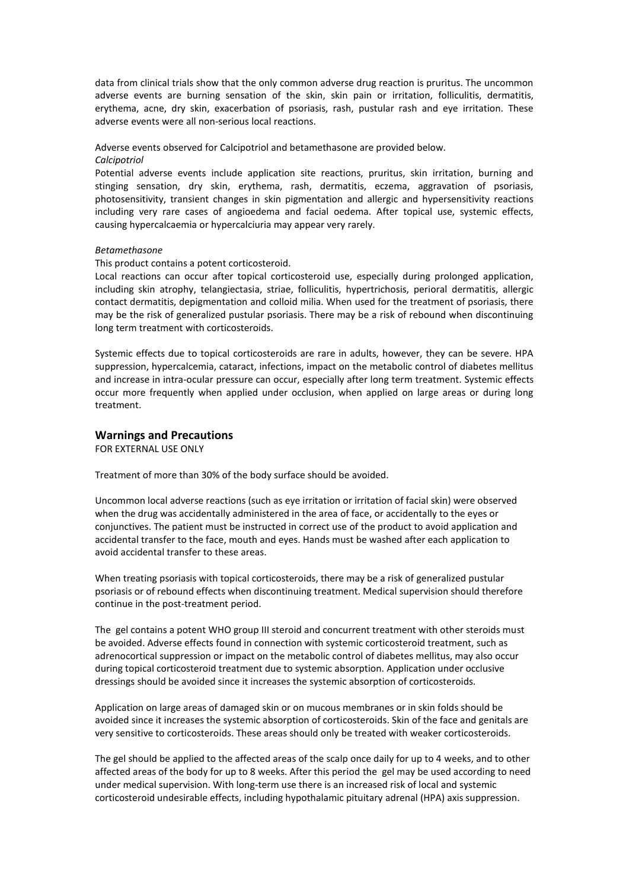data from clinical trials show that the only common adverse drug reaction is pruritus. The uncommon adverse events are burning sensation of the skin, skin pain or irritation, folliculitis, dermatitis, erythema, acne, dry skin, exacerbation of psoriasis, rash, pustular rash and eye irritation. These adverse events were all non-serious local reactions.

## Adverse events observed for Calcipotriol and betamethasone are provided below.

### *Calcipotriol*

Potential adverse events include application site reactions, pruritus, skin irritation, burning and stinging sensation, dry skin, erythema, rash, dermatitis, eczema, aggravation of psoriasis, photosensitivity, transient changes in skin pigmentation and allergic and hypersensitivity reactions including very rare cases of angioedema and facial oedema. After topical use, systemic effects, causing hypercalcaemia or hypercalciuria may appear very rarely.

### *Betamethasone*

This product contains a potent corticosteroid.

Local reactions can occur after topical corticosteroid use, especially during prolonged application, including skin atrophy, telangiectasia, striae, folliculitis, hypertrichosis, perioral dermatitis, allergic contact dermatitis, depigmentation and colloid milia. When used for the treatment of psoriasis, there may be the risk of generalized pustular psoriasis. There may be a risk of rebound when discontinuing long term treatment with corticosteroids.

Systemic effects due to topical corticosteroids are rare in adults, however, they can be severe. HPA suppression, hypercalcemia, cataract, infections, impact on the metabolic control of diabetes mellitus and increase in intra-ocular pressure can occur, especially after long term treatment. Systemic effects occur more frequently when applied under occlusion, when applied on large areas or during long treatment.

## **Warnings and Precautions**

FOR EXTERNAL USE ONLY

Treatment of more than 30% of the body surface should be avoided.

Uncommon local adverse reactions (such as eye irritation or irritation of facial skin) were observed when the drug was accidentally administered in the area of face, or accidentally to the eyes or conjunctives. The patient must be instructed in correct use of the product to avoid application and accidental transfer to the face, mouth and eyes. Hands must be washed after each application to avoid accidental transfer to these areas.

When treating psoriasis with topical corticosteroids, there may be a risk of generalized pustular psoriasis or of rebound effects when discontinuing treatment. Medical supervision should therefore continue in the post-treatment period.

The gel contains a potent WHO group III steroid and concurrent treatment with other steroids must be avoided. Adverse effects found in connection with systemic corticosteroid treatment, such as adrenocortical suppression or impact on the metabolic control of diabetes mellitus, may also occur during topical corticosteroid treatment due to systemic absorption. Application under occlusive dressings should be avoided since it increases the systemic absorption of corticosteroids.

Application on large areas of damaged skin or on mucous membranes or in skin folds should be avoided since it increases the systemic absorption of corticosteroids. Skin of the face and genitals are very sensitive to corticosteroids. These areas should only be treated with weaker corticosteroids.

The gel should be applied to the affected areas of the scalp once daily for up to 4 weeks, and to other affected areas of the body for up to 8 weeks. After this period the gel may be used according to need under medical supervision. With long-term use there is an increased risk of local and systemic corticosteroid undesirable effects, including hypothalamic pituitary adrenal (HPA) axis suppression.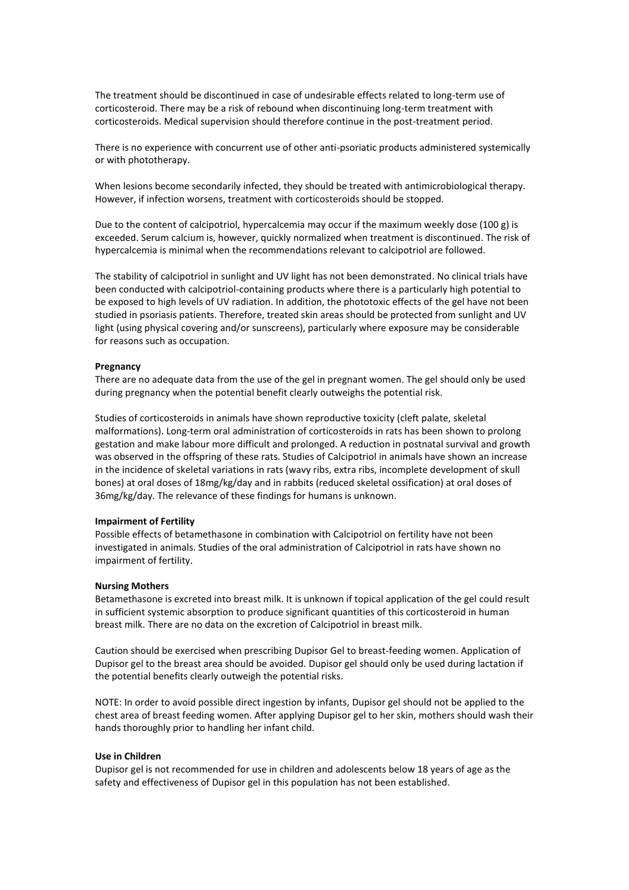The treatment should be discontinued in case of undesirable effects related to long-term use of corticosteroid. There may be a risk of rebound when discontinuing long-term treatment with corticosteroids. Medical supervision should therefore continue in the post-treatment period.

There is no experience with concurrent use of other anti-psoriatic products administered systemically or with phototherapy.

When lesions become secondarily infected, they should be treated with antimicrobiological therapy. However, if infection worsens, treatment with corticosteroids should be stopped.

Due to the content of calcipotriol, hypercalcemia may occur if the maximum weekly dose (100 g) is exceeded. Serum calcium is, however, quickly normalized when treatment is discontinued. The risk of hypercalcemia is minimal when the recommendations relevant to calcipotriol are followed.

The stability of calcipotriol in sunlight and UV light has not been demonstrated. No clinical trials have been conducted with calcipotriol-containing products where there is a particularly high potential to be exposed to high levels of UV radiation. In addition, the phototoxic effects of the gel have not been studied in psoriasis patients. Therefore, treated skin areas should be protected from sunlight and UV light (using physical covering and/or sunscreens), particularly where exposure may be considerable for reasons such as occupation.

#### **Pregnancy**

There are no adequate data from the use of the gel in pregnant women. The gel should only be used during pregnancy when the potential benefit clearly outweighs the potential risk.

Studies of corticosteroids in animals have shown reproductive toxicity (cleft palate, skeletal malformations). Long-term oral administration of corticosteroids in rats has been shown to prolong gestation and make labour more difficult and prolonged. A reduction in postnatal survival and growth was observed in the offspring of these rats. Studies of Calcipotriol in animals have shown an increase in the incidence of skeletal variations in rats (wavy ribs, extra ribs, incomplete development of skull bones) at oral doses of 18mg/kg/day and in rabbits (reduced skeletal ossification) at oral doses of 36mg/kg/day. The relevance of these findings for humans is unknown.

#### **Impairment of Fertility**

Possible effects of betamethasone in combination with Calcipotriol on fertility have not been investigated in animals. Studies of the oral administration of Calcipotriol in rats have shown no impairment of fertility.

#### **Nursing Mothers**

Betamethasone is excreted into breast milk. It is unknown if topical application of the gel could result in sufficient systemic absorption to produce significant quantities of this corticosteroid in human breast milk. There are no data on the excretion of Calcipotriol in breast milk.

Caution should be exercised when prescribing Dupisor Gel to breast-feeding women. Application of Dupisor gel to the breast area should be avoided. Dupisor gel should only be used during lactation if the potential benefits clearly outweigh the potential risks.

NOTE: In order to avoid possible direct ingestion by infants, Dupisor gel should not be applied to the chest area of breast feeding women. After applying Dupisor gel to her skin, mothers should wash their hands thoroughly prior to handling her infant child.

### **Use in Children**

Dupisor gel is not recommended for use in children and adolescents below 18 years of age as the safety and effectiveness of Dupisor gel in this population has not been established.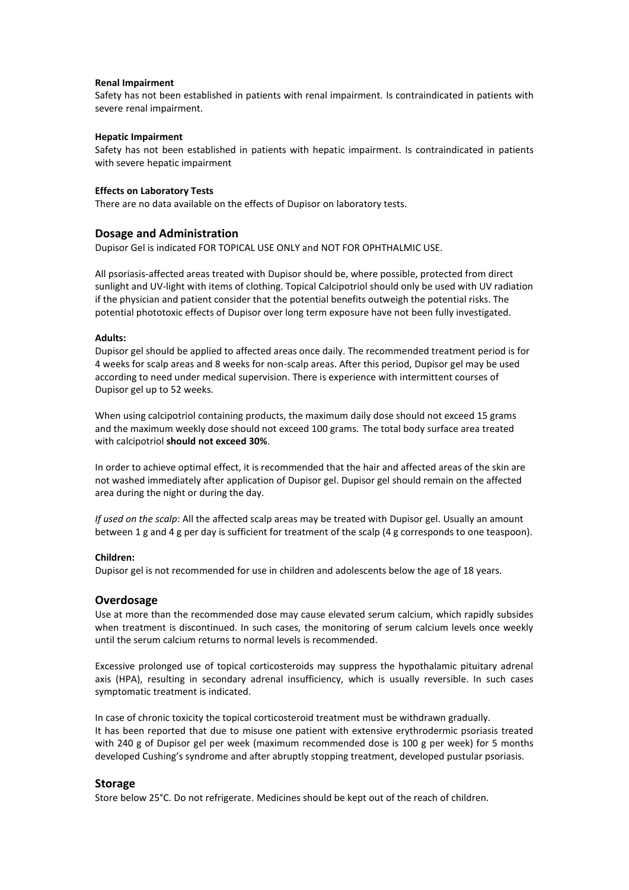#### **Renal Impairment**

Safety has not been established in patients with renal impairment. Is contraindicated in patients with severe renal impairment.

#### **Hepatic Impairment**

Safety has not been established in patients with hepatic impairment. Is contraindicated in patients with severe hepatic impairment

#### **Effects on Laboratory Tests**

There are no data available on the effects of Dupisor on laboratory tests.

### **Dosage and Administration**

Dupisor Gel is indicated FOR TOPICAL USE ONLY and NOT FOR OPHTHALMIC USE.

All psoriasis-affected areas treated with Dupisor should be, where possible, protected from direct sunlight and UV-light with items of clothing. Topical Calcipotriol should only be used with UV radiation if the physician and patient consider that the potential benefits outweigh the potential risks. The potential phototoxic effects of Dupisor over long term exposure have not been fully investigated.

#### **Adults:**

Dupisor gel should be applied to affected areas once daily. The recommended treatment period is for 4 weeks for scalp areas and 8 weeks for non-scalp areas. After this period, Dupisor gel may be used according to need under medical supervision. There is experience with intermittent courses of Dupisor gel up to 52 weeks.

When using calcipotriol containing products, the maximum daily dose should not exceed 15 grams and the maximum weekly dose should not exceed 100 grams. The total body surface area treated with calcipotriol **should not exceed 30%**.

In order to achieve optimal effect, it is recommended that the hair and affected areas of the skin are not washed immediately after application of Dupisor gel. Dupisor gel should remain on the affected area during the night or during the day.

*If used on the scalp*: All the affected scalp areas may be treated with Dupisor gel. Usually an amount between 1 g and 4 g per day is sufficient for treatment of the scalp (4 g corresponds to one teaspoon).

#### **Children:**

Dupisor gel is not recommended for use in children and adolescents below the age of 18 years.

### **Overdosage**

Use at more than the recommended dose may cause elevated serum calcium, which rapidly subsides when treatment is discontinued. In such cases, the monitoring of serum calcium levels once weekly until the serum calcium returns to normal levels is recommended.

Excessive prolonged use of topical corticosteroids may suppress the hypothalamic pituitary adrenal axis (HPA), resulting in secondary adrenal insufficiency, which is usually reversible. In such cases symptomatic treatment is indicated.

In case of chronic toxicity the topical corticosteroid treatment must be withdrawn gradually. It has been reported that due to misuse one patient with extensive erythrodermic psoriasis treated with 240 g of Dupisor gel per week (maximum recommended dose is 100 g per week) for 5 months developed Cushing's syndrome and after abruptly stopping treatment, developed pustular psoriasis.

### **Storage**

Store below 25°C. Do not refrigerate. Medicines should be kept out of the reach of children.